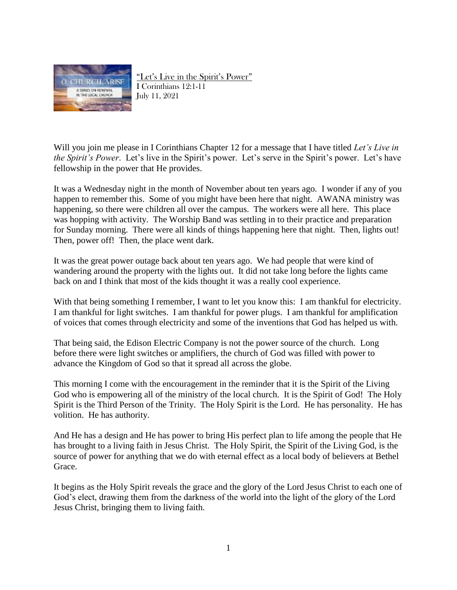

"Let's Live in the Spirit's Power" I Corinthians 12:1-11 July 11, 2021

Will you join me please in I Corinthians Chapter 12 for a message that I have titled *Let's Live in the Spirit's Power*. Let's live in the Spirit's power. Let's serve in the Spirit's power. Let's have fellowship in the power that He provides.

It was a Wednesday night in the month of November about ten years ago. I wonder if any of you happen to remember this. Some of you might have been here that night. AWANA ministry was happening, so there were children all over the campus. The workers were all here. This place was hopping with activity. The Worship Band was settling in to their practice and preparation for Sunday morning. There were all kinds of things happening here that night. Then, lights out! Then, power off! Then, the place went dark.

It was the great power outage back about ten years ago. We had people that were kind of wandering around the property with the lights out. It did not take long before the lights came back on and I think that most of the kids thought it was a really cool experience.

With that being something I remember, I want to let you know this: I am thankful for electricity. I am thankful for light switches. I am thankful for power plugs. I am thankful for amplification of voices that comes through electricity and some of the inventions that God has helped us with.

That being said, the Edison Electric Company is not the power source of the church. Long before there were light switches or amplifiers, the church of God was filled with power to advance the Kingdom of God so that it spread all across the globe.

This morning I come with the encouragement in the reminder that it is the Spirit of the Living God who is empowering all of the ministry of the local church. It is the Spirit of God! The Holy Spirit is the Third Person of the Trinity. The Holy Spirit is the Lord. He has personality. He has volition. He has authority.

And He has a design and He has power to bring His perfect plan to life among the people that He has brought to a living faith in Jesus Christ. The Holy Spirit, the Spirit of the Living God, is the source of power for anything that we do with eternal effect as a local body of believers at Bethel Grace.

It begins as the Holy Spirit reveals the grace and the glory of the Lord Jesus Christ to each one of God's elect, drawing them from the darkness of the world into the light of the glory of the Lord Jesus Christ, bringing them to living faith.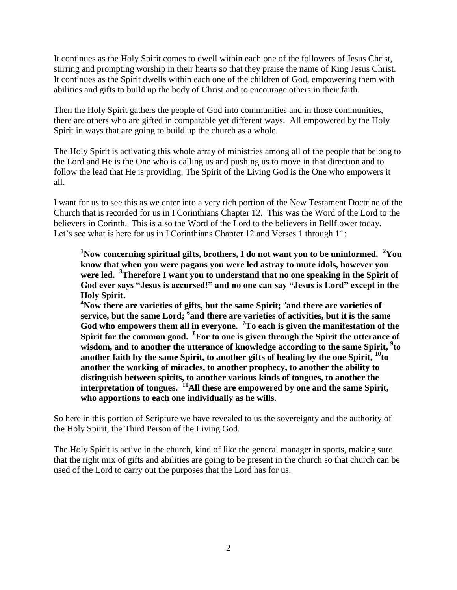It continues as the Holy Spirit comes to dwell within each one of the followers of Jesus Christ, stirring and prompting worship in their hearts so that they praise the name of King Jesus Christ. It continues as the Spirit dwells within each one of the children of God, empowering them with abilities and gifts to build up the body of Christ and to encourage others in their faith.

Then the Holy Spirit gathers the people of God into communities and in those communities, there are others who are gifted in comparable yet different ways. All empowered by the Holy Spirit in ways that are going to build up the church as a whole.

The Holy Spirit is activating this whole array of ministries among all of the people that belong to the Lord and He is the One who is calling us and pushing us to move in that direction and to follow the lead that He is providing. The Spirit of the Living God is the One who empowers it all.

I want for us to see this as we enter into a very rich portion of the New Testament Doctrine of the Church that is recorded for us in I Corinthians Chapter 12. This was the Word of the Lord to the believers in Corinth. This is also the Word of the Lord to the believers in Bellflower today. Let's see what is here for us in I Corinthians Chapter 12 and Verses 1 through 11:

**<sup>1</sup>Now concerning spiritual gifts, brothers, I do not want you to be uninformed. <sup>2</sup>You know that when you were pagans you were led astray to mute idols, however you were led. <sup>3</sup>Therefore I want you to understand that no one speaking in the Spirit of God ever says "Jesus is accursed!" and no one can say "Jesus is Lord" except in the Holy Spirit.**

**<sup>4</sup>Now there are varieties of gifts, but the same Spirit; <sup>5</sup> and there are varieties of service, but the same Lord; <sup>6</sup> and there are varieties of activities, but it is the same God who empowers them all in everyone. <sup>7</sup>To each is given the manifestation of the Spirit for the common good. <sup>8</sup> For to one is given through the Spirit the utterance of wisdom, and to another the utterance of knowledge according to the same Spirit, <sup>9</sup> to another faith by the same Spirit, to another gifts of healing by the one Spirit, <sup>10</sup>to another the working of miracles, to another prophecy, to another the ability to distinguish between spirits, to another various kinds of tongues, to another the interpretation of tongues. <sup>11</sup>All these are empowered by one and the same Spirit, who apportions to each one individually as he wills.**

So here in this portion of Scripture we have revealed to us the sovereignty and the authority of the Holy Spirit, the Third Person of the Living God.

The Holy Spirit is active in the church, kind of like the general manager in sports, making sure that the right mix of gifts and abilities are going to be present in the church so that church can be used of the Lord to carry out the purposes that the Lord has for us.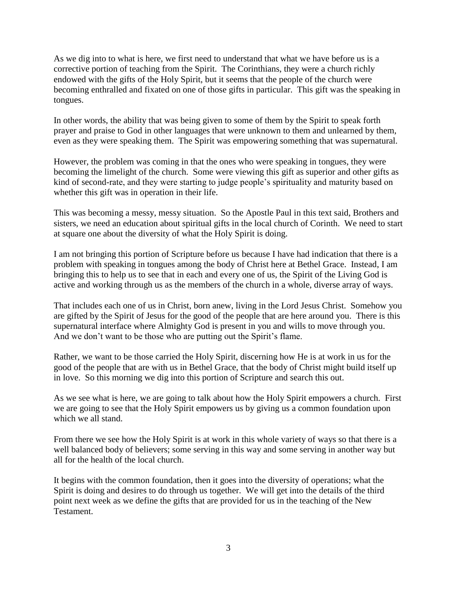As we dig into to what is here, we first need to understand that what we have before us is a corrective portion of teaching from the Spirit. The Corinthians, they were a church richly endowed with the gifts of the Holy Spirit, but it seems that the people of the church were becoming enthralled and fixated on one of those gifts in particular. This gift was the speaking in tongues.

In other words, the ability that was being given to some of them by the Spirit to speak forth prayer and praise to God in other languages that were unknown to them and unlearned by them, even as they were speaking them. The Spirit was empowering something that was supernatural.

However, the problem was coming in that the ones who were speaking in tongues, they were becoming the limelight of the church. Some were viewing this gift as superior and other gifts as kind of second-rate, and they were starting to judge people's spirituality and maturity based on whether this gift was in operation in their life.

This was becoming a messy, messy situation. So the Apostle Paul in this text said, Brothers and sisters, we need an education about spiritual gifts in the local church of Corinth. We need to start at square one about the diversity of what the Holy Spirit is doing.

I am not bringing this portion of Scripture before us because I have had indication that there is a problem with speaking in tongues among the body of Christ here at Bethel Grace. Instead, I am bringing this to help us to see that in each and every one of us, the Spirit of the Living God is active and working through us as the members of the church in a whole, diverse array of ways.

That includes each one of us in Christ, born anew, living in the Lord Jesus Christ. Somehow you are gifted by the Spirit of Jesus for the good of the people that are here around you. There is this supernatural interface where Almighty God is present in you and wills to move through you. And we don't want to be those who are putting out the Spirit's flame.

Rather, we want to be those carried the Holy Spirit, discerning how He is at work in us for the good of the people that are with us in Bethel Grace, that the body of Christ might build itself up in love. So this morning we dig into this portion of Scripture and search this out.

As we see what is here, we are going to talk about how the Holy Spirit empowers a church. First we are going to see that the Holy Spirit empowers us by giving us a common foundation upon which we all stand.

From there we see how the Holy Spirit is at work in this whole variety of ways so that there is a well balanced body of believers; some serving in this way and some serving in another way but all for the health of the local church.

It begins with the common foundation, then it goes into the diversity of operations; what the Spirit is doing and desires to do through us together. We will get into the details of the third point next week as we define the gifts that are provided for us in the teaching of the New Testament.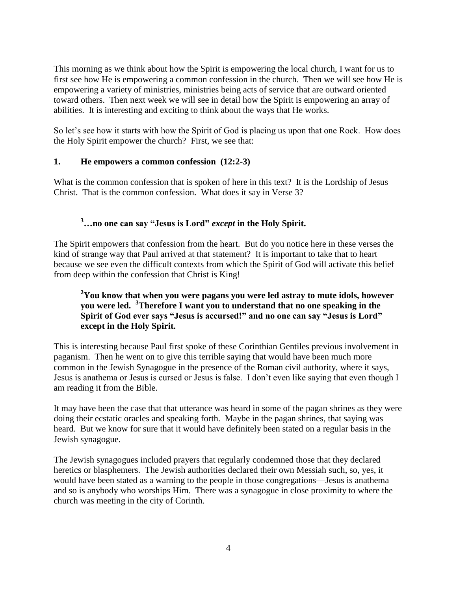This morning as we think about how the Spirit is empowering the local church, I want for us to first see how He is empowering a common confession in the church. Then we will see how He is empowering a variety of ministries, ministries being acts of service that are outward oriented toward others. Then next week we will see in detail how the Spirit is empowering an array of abilities. It is interesting and exciting to think about the ways that He works.

So let's see how it starts with how the Spirit of God is placing us upon that one Rock. How does the Holy Spirit empower the church? First, we see that:

#### **1. He empowers a common confession (12:2-3)**

What is the common confession that is spoken of here in this text? It is the Lordship of Jesus Christ. That is the common confession. What does it say in Verse 3?

# **<sup>3</sup>…no one can say "Jesus is Lord"** *except* **in the Holy Spirit.**

The Spirit empowers that confession from the heart. But do you notice here in these verses the kind of strange way that Paul arrived at that statement? It is important to take that to heart because we see even the difficult contexts from which the Spirit of God will activate this belief from deep within the confession that Christ is King!

### **<sup>2</sup>You know that when you were pagans you were led astray to mute idols, however you were led. <sup>3</sup>Therefore I want you to understand that no one speaking in the Spirit of God ever says "Jesus is accursed!" and no one can say "Jesus is Lord" except in the Holy Spirit.**

This is interesting because Paul first spoke of these Corinthian Gentiles previous involvement in paganism. Then he went on to give this terrible saying that would have been much more common in the Jewish Synagogue in the presence of the Roman civil authority, where it says, Jesus is anathema or Jesus is cursed or Jesus is false. I don't even like saying that even though I am reading it from the Bible.

It may have been the case that that utterance was heard in some of the pagan shrines as they were doing their ecstatic oracles and speaking forth. Maybe in the pagan shrines, that saying was heard. But we know for sure that it would have definitely been stated on a regular basis in the Jewish synagogue.

The Jewish synagogues included prayers that regularly condemned those that they declared heretics or blasphemers. The Jewish authorities declared their own Messiah such, so, yes, it would have been stated as a warning to the people in those congregations—Jesus is anathema and so is anybody who worships Him. There was a synagogue in close proximity to where the church was meeting in the city of Corinth.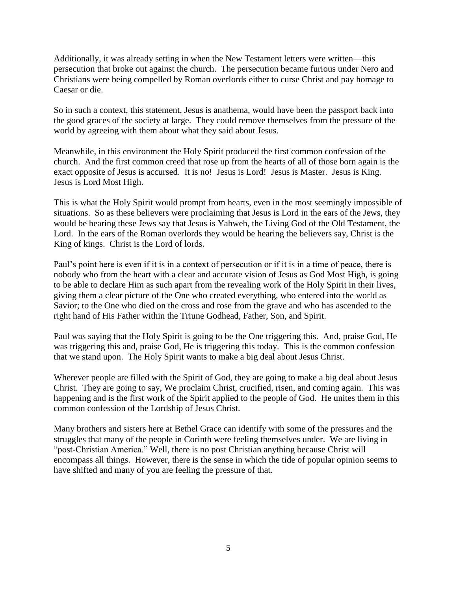Additionally, it was already setting in when the New Testament letters were written—this persecution that broke out against the church. The persecution became furious under Nero and Christians were being compelled by Roman overlords either to curse Christ and pay homage to Caesar or die.

So in such a context, this statement, Jesus is anathema, would have been the passport back into the good graces of the society at large. They could remove themselves from the pressure of the world by agreeing with them about what they said about Jesus.

Meanwhile, in this environment the Holy Spirit produced the first common confession of the church. And the first common creed that rose up from the hearts of all of those born again is the exact opposite of Jesus is accursed. It is no! Jesus is Lord! Jesus is Master. Jesus is King. Jesus is Lord Most High.

This is what the Holy Spirit would prompt from hearts, even in the most seemingly impossible of situations. So as these believers were proclaiming that Jesus is Lord in the ears of the Jews, they would be hearing these Jews say that Jesus is Yahweh, the Living God of the Old Testament, the Lord. In the ears of the Roman overlords they would be hearing the believers say, Christ is the King of kings. Christ is the Lord of lords.

Paul's point here is even if it is in a context of persecution or if it is in a time of peace, there is nobody who from the heart with a clear and accurate vision of Jesus as God Most High, is going to be able to declare Him as such apart from the revealing work of the Holy Spirit in their lives, giving them a clear picture of the One who created everything, who entered into the world as Savior; to the One who died on the cross and rose from the grave and who has ascended to the right hand of His Father within the Triune Godhead, Father, Son, and Spirit.

Paul was saying that the Holy Spirit is going to be the One triggering this. And, praise God, He was triggering this and, praise God, He is triggering this today. This is the common confession that we stand upon. The Holy Spirit wants to make a big deal about Jesus Christ.

Wherever people are filled with the Spirit of God, they are going to make a big deal about Jesus Christ. They are going to say, We proclaim Christ, crucified, risen, and coming again. This was happening and is the first work of the Spirit applied to the people of God. He unites them in this common confession of the Lordship of Jesus Christ.

Many brothers and sisters here at Bethel Grace can identify with some of the pressures and the struggles that many of the people in Corinth were feeling themselves under. We are living in "post-Christian America." Well, there is no post Christian anything because Christ will encompass all things. However, there is the sense in which the tide of popular opinion seems to have shifted and many of you are feeling the pressure of that.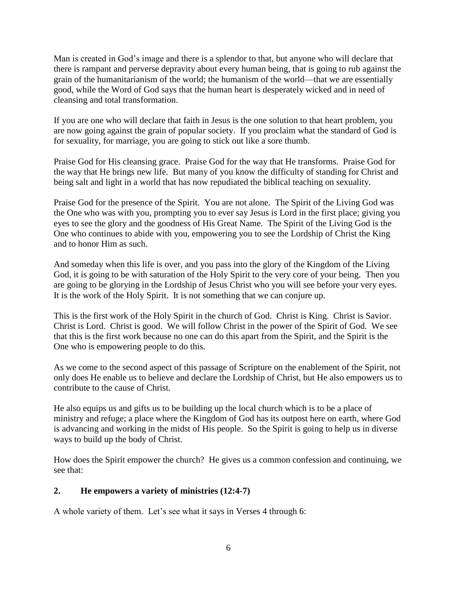Man is created in God's image and there is a splendor to that, but anyone who will declare that there is rampant and perverse depravity about every human being, that is going to rub against the grain of the humanitarianism of the world; the humanism of the world—that we are essentially good, while the Word of God says that the human heart is desperately wicked and in need of cleansing and total transformation.

If you are one who will declare that faith in Jesus is the one solution to that heart problem, you are now going against the grain of popular society. If you proclaim what the standard of God is for sexuality, for marriage, you are going to stick out like a sore thumb.

Praise God for His cleansing grace. Praise God for the way that He transforms. Praise God for the way that He brings new life. But many of you know the difficulty of standing for Christ and being salt and light in a world that has now repudiated the biblical teaching on sexuality.

Praise God for the presence of the Spirit. You are not alone. The Spirit of the Living God was the One who was with you, prompting you to ever say Jesus is Lord in the first place; giving you eyes to see the glory and the goodness of His Great Name. The Spirit of the Living God is the One who continues to abide with you, empowering you to see the Lordship of Christ the King and to honor Him as such.

And someday when this life is over, and you pass into the glory of the Kingdom of the Living God, it is going to be with saturation of the Holy Spirit to the very core of your being. Then you are going to be glorying in the Lordship of Jesus Christ who you will see before your very eyes. It is the work of the Holy Spirit. It is not something that we can conjure up.

This is the first work of the Holy Spirit in the church of God. Christ is King. Christ is Savior. Christ is Lord. Christ is good. We will follow Christ in the power of the Spirit of God. We see that this is the first work because no one can do this apart from the Spirit, and the Spirit is the One who is empowering people to do this.

As we come to the second aspect of this passage of Scripture on the enablement of the Spirit, not only does He enable us to believe and declare the Lordship of Christ, but He also empowers us to contribute to the cause of Christ.

He also equips us and gifts us to be building up the local church which is to be a place of ministry and refuge; a place where the Kingdom of God has its outpost here on earth, where God is advancing and working in the midst of His people. So the Spirit is going to help us in diverse ways to build up the body of Christ.

How does the Spirit empower the church? He gives us a common confession and continuing, we see that:

# **2. He empowers a variety of ministries (12:4-7)**

A whole variety of them. Let's see what it says in Verses 4 through 6: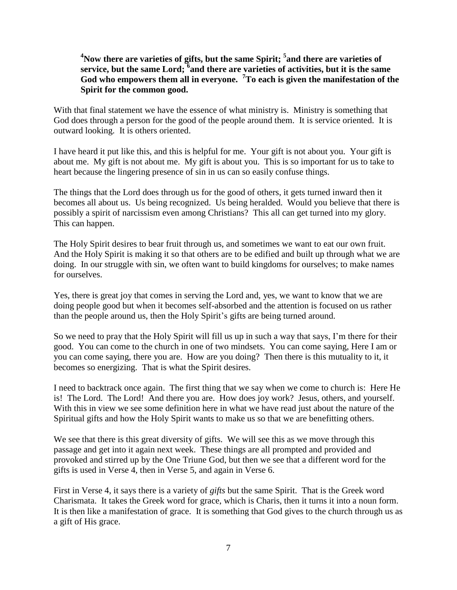# **<sup>4</sup>Now there are varieties of gifts, but the same Spirit; <sup>5</sup> and there are varieties of service, but the same Lord; <sup>6</sup> and there are varieties of activities, but it is the same God who empowers them all in everyone. <sup>7</sup>To each is given the manifestation of the Spirit for the common good.**

With that final statement we have the essence of what ministry is. Ministry is something that God does through a person for the good of the people around them. It is service oriented. It is outward looking. It is others oriented.

I have heard it put like this, and this is helpful for me. Your gift is not about you. Your gift is about me. My gift is not about me. My gift is about you. This is so important for us to take to heart because the lingering presence of sin in us can so easily confuse things.

The things that the Lord does through us for the good of others, it gets turned inward then it becomes all about us. Us being recognized. Us being heralded. Would you believe that there is possibly a spirit of narcissism even among Christians? This all can get turned into my glory. This can happen.

The Holy Spirit desires to bear fruit through us, and sometimes we want to eat our own fruit. And the Holy Spirit is making it so that others are to be edified and built up through what we are doing. In our struggle with sin, we often want to build kingdoms for ourselves; to make names for ourselves.

Yes, there is great joy that comes in serving the Lord and, yes, we want to know that we are doing people good but when it becomes self-absorbed and the attention is focused on us rather than the people around us, then the Holy Spirit's gifts are being turned around.

So we need to pray that the Holy Spirit will fill us up in such a way that says, I'm there for their good. You can come to the church in one of two mindsets. You can come saying, Here I am or you can come saying, there you are. How are you doing? Then there is this mutuality to it, it becomes so energizing. That is what the Spirit desires.

I need to backtrack once again. The first thing that we say when we come to church is: Here He is! The Lord. The Lord! And there you are. How does joy work? Jesus, others, and yourself. With this in view we see some definition here in what we have read just about the nature of the Spiritual gifts and how the Holy Spirit wants to make us so that we are benefitting others.

We see that there is this great diversity of gifts. We will see this as we move through this passage and get into it again next week. These things are all prompted and provided and provoked and stirred up by the One Triune God, but then we see that a different word for the gifts is used in Verse 4, then in Verse 5, and again in Verse 6.

First in Verse 4, it says there is a variety of *gifts* but the same Spirit. That is the Greek word Charismata. It takes the Greek word for grace, which is Charis, then it turns it into a noun form. It is then like a manifestation of grace. It is something that God gives to the church through us as a gift of His grace.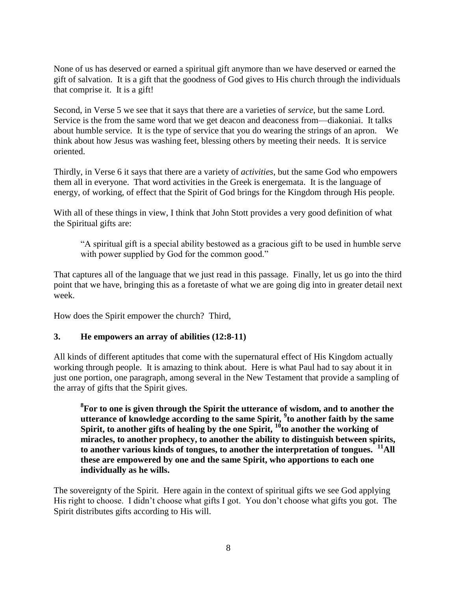None of us has deserved or earned a spiritual gift anymore than we have deserved or earned the gift of salvation. It is a gift that the goodness of God gives to His church through the individuals that comprise it. It is a gift!

Second, in Verse 5 we see that it says that there are a varieties of *service*, but the same Lord. Service is the from the same word that we get deacon and deaconess from—diakoniai. It talks about humble service. It is the type of service that you do wearing the strings of an apron. We think about how Jesus was washing feet, blessing others by meeting their needs. It is service oriented.

Thirdly, in Verse 6 it says that there are a variety of *activities*, but the same God who empowers them all in everyone. That word activities in the Greek is energemata. It is the language of energy, of working, of effect that the Spirit of God brings for the Kingdom through His people.

With all of these things in view, I think that John Stott provides a very good definition of what the Spiritual gifts are:

"A spiritual gift is a special ability bestowed as a gracious gift to be used in humble serve with power supplied by God for the common good."

That captures all of the language that we just read in this passage. Finally, let us go into the third point that we have, bringing this as a foretaste of what we are going dig into in greater detail next week.

How does the Spirit empower the church? Third,

#### **3. He empowers an array of abilities (12:8-11)**

All kinds of different aptitudes that come with the supernatural effect of His Kingdom actually working through people. It is amazing to think about. Here is what Paul had to say about it in just one portion, one paragraph, among several in the New Testament that provide a sampling of the array of gifts that the Spirit gives.

**8 For to one is given through the Spirit the utterance of wisdom, and to another the utterance of knowledge according to the same Spirit, <sup>9</sup> to another faith by the same**  Spirit, to another gifts of healing by the one Spirit,  $10^6$  to another the working of **miracles, to another prophecy, to another the ability to distinguish between spirits, to another various kinds of tongues, to another the interpretation of tongues. <sup>11</sup>All these are empowered by one and the same Spirit, who apportions to each one individually as he wills.**

The sovereignty of the Spirit. Here again in the context of spiritual gifts we see God applying His right to choose. I didn't choose what gifts I got. You don't choose what gifts you got. The Spirit distributes gifts according to His will.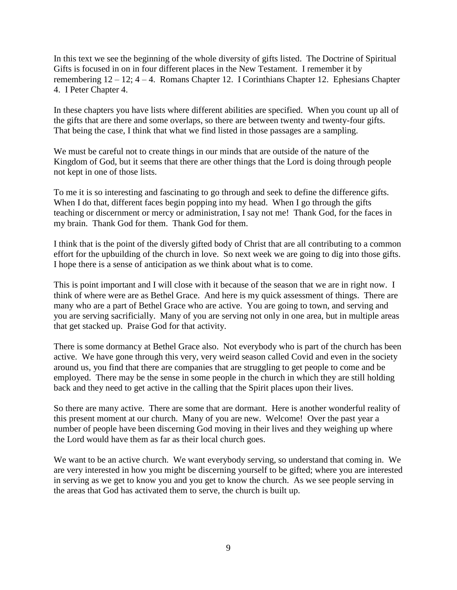In this text we see the beginning of the whole diversity of gifts listed. The Doctrine of Spiritual Gifts is focused in on in four different places in the New Testament. I remember it by remembering 12 – 12; 4 – 4. Romans Chapter 12. I Corinthians Chapter 12. Ephesians Chapter 4. I Peter Chapter 4.

In these chapters you have lists where different abilities are specified. When you count up all of the gifts that are there and some overlaps, so there are between twenty and twenty-four gifts. That being the case, I think that what we find listed in those passages are a sampling.

We must be careful not to create things in our minds that are outside of the nature of the Kingdom of God, but it seems that there are other things that the Lord is doing through people not kept in one of those lists.

To me it is so interesting and fascinating to go through and seek to define the difference gifts. When I do that, different faces begin popping into my head. When I go through the gifts teaching or discernment or mercy or administration, I say not me! Thank God, for the faces in my brain. Thank God for them. Thank God for them.

I think that is the point of the diversly gifted body of Christ that are all contributing to a common effort for the upbuilding of the church in love. So next week we are going to dig into those gifts. I hope there is a sense of anticipation as we think about what is to come.

This is point important and I will close with it because of the season that we are in right now. I think of where were are as Bethel Grace. And here is my quick assessment of things. There are many who are a part of Bethel Grace who are active. You are going to town, and serving and you are serving sacrificially. Many of you are serving not only in one area, but in multiple areas that get stacked up. Praise God for that activity.

There is some dormancy at Bethel Grace also. Not everybody who is part of the church has been active. We have gone through this very, very weird season called Covid and even in the society around us, you find that there are companies that are struggling to get people to come and be employed. There may be the sense in some people in the church in which they are still holding back and they need to get active in the calling that the Spirit places upon their lives.

So there are many active. There are some that are dormant. Here is another wonderful reality of this present moment at our church. Many of you are new. Welcome! Over the past year a number of people have been discerning God moving in their lives and they weighing up where the Lord would have them as far as their local church goes.

We want to be an active church. We want everybody serving, so understand that coming in. We are very interested in how you might be discerning yourself to be gifted; where you are interested in serving as we get to know you and you get to know the church. As we see people serving in the areas that God has activated them to serve, the church is built up.